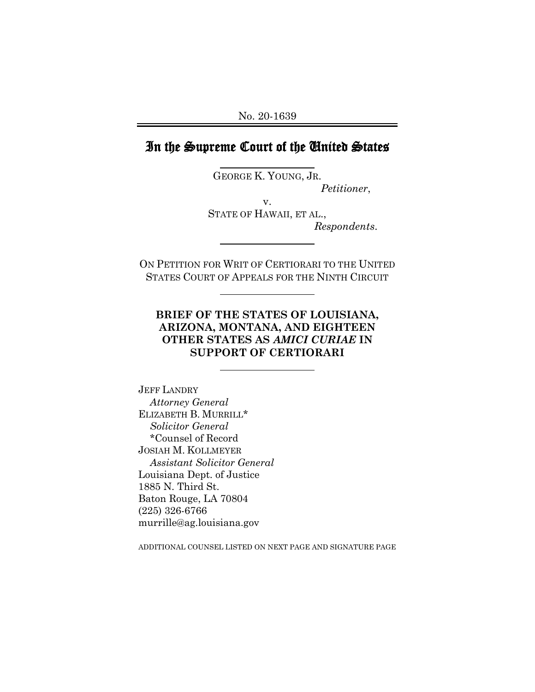# In the Supreme Court of the United States

 GEORGE K. YOUNG, JR. *Petitioner*,

v. STATE OF HAWAII, ET AL., *Respondents*.

ON PETITION FOR WRIT OF CERTIORARI TO THE UNITED STATES COURT OF APPEALS FOR THE NINTH CIRCUIT

 $\overline{a}$ 

 $\overline{a}$ 

 $\overline{a}$ 

## **BRIEF OF THE STATES OF LOUISIANA, ARIZONA, MONTANA, AND EIGHTEEN OTHER STATES AS** *AMICI CURIAE* **IN SUPPORT OF CERTIORARI**

JEFF LANDRY *Attorney General* ELIZABETH B. MURRILL\* *Solicitor General* \*Counsel of Record JOSIAH M. KOLLMEYER *Assistant Solicitor General* Louisiana Dept. of Justice 1885 N. Third St. Baton Rouge, LA 70804 (225) 326-6766 murrille@ag.louisiana.gov

ADDITIONAL COUNSEL LISTED ON NEXT PAGE AND SIGNATURE PAGE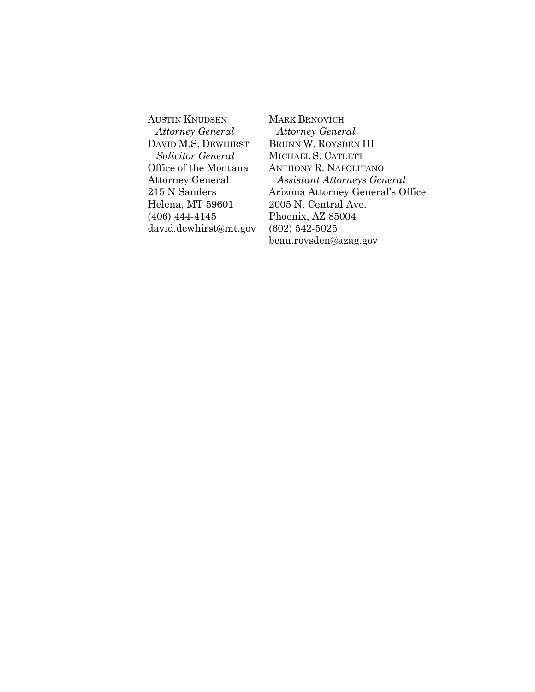AUSTIN KNUDSEN *Attorney General* DAVID M.S. DEWHIRST *Solicitor General* Office of the Montana Attorney General 215 N Sanders Helena, MT 59601 (406) 444-4145 david.dewhirst@mt.gov MARK BRNOVICH *Attorney General* BRUNN W. ROYSDEN III MICHAEL S. CATLETT ANTHONY R. NAPOLITANO *Assistant Attorneys General* Arizona Attorney General's Office 2005 N. Central Ave. Phoenix, AZ 85004 (602) 542-5025 beau.roysden@azag.gov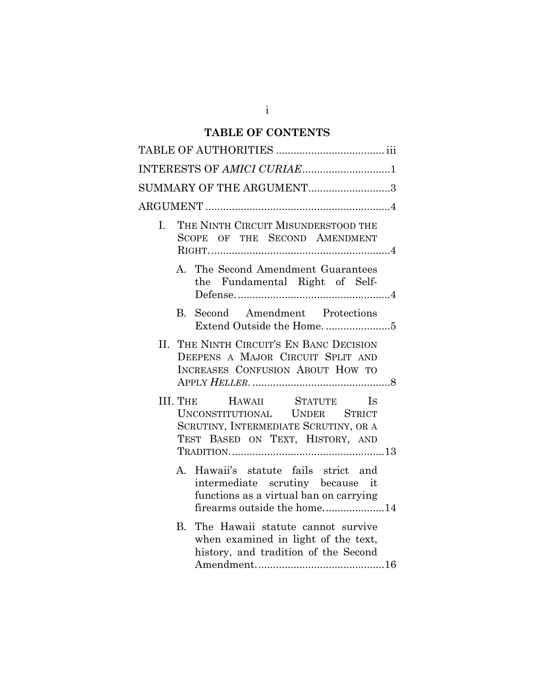## **TABLE OF CONTENTS**

|              | SUMMARY OF THE ARGUMENT3                                                                                                                                                                                                                               |
|--------------|--------------------------------------------------------------------------------------------------------------------------------------------------------------------------------------------------------------------------------------------------------|
|              |                                                                                                                                                                                                                                                        |
| L.           | THE NINTH CIRCUIT MISUNDERSTOOD THE<br>SCOPE OF THE SECOND AMENDMENT                                                                                                                                                                                   |
|              | A. The Second Amendment Guarantees<br>the Fundamental Right of Self-                                                                                                                                                                                   |
| $\mathbf{B}$ | Second Amendment Protections                                                                                                                                                                                                                           |
| Н.           | THE NINTH CIRCUIT'S EN BANC DECISION<br>DEEPENS A MAJOR CIRCUIT SPLIT AND<br>INCREASES CONFUSION ABOUT HOW TO                                                                                                                                          |
|              | III. THE <b>HAWAII</b> STATUTE<br><b>IS</b><br>UNCONSTITUTIONAL UNDER STRICT<br>SCRUTINY, INTERMEDIATE SCRUTINY, OR A<br>TEST BASED ON TEXT, HISTORY, AND<br>$\label{eq:transformation} \text{TRADITION}.\text{}\text{}\text{}\text{}\text{}\text{}13$ |
| $A_{-}$      | Hawaii's statute fails strict and<br>intermediate scrutiny because it<br>functions as a virtual ban on carrying<br>firearms outside the home14                                                                                                         |
| $\mathbf{B}$ | The Hawaii statute cannot survive<br>when examined in light of the text,<br>history, and tradition of the Second                                                                                                                                       |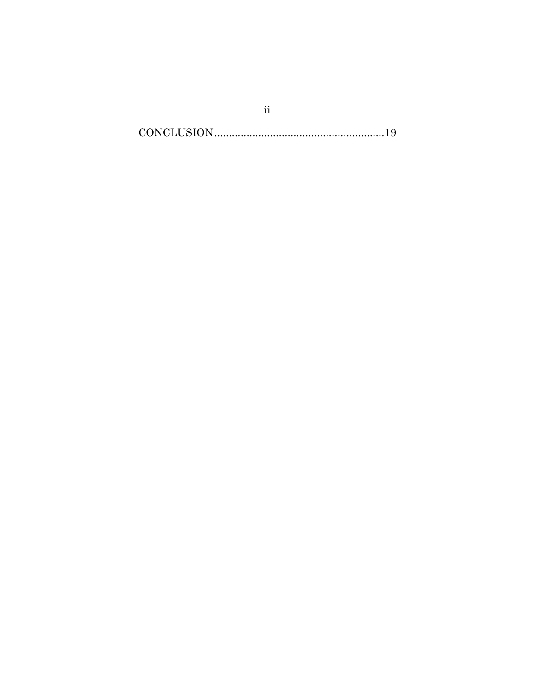$\textbf{CONCLUSION}.\textcolor{red}{\textbf{19}}$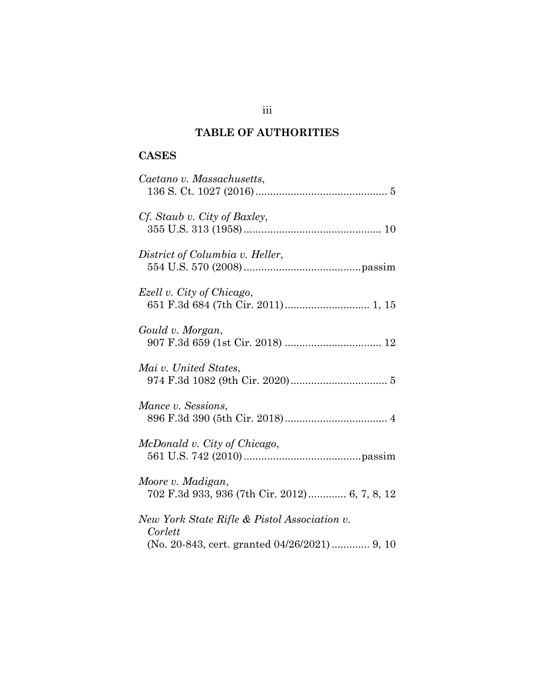# **TABLE OF AUTHORITIES**

# **CASES**

| Caetano v. Massachusetts,                                                                               |
|---------------------------------------------------------------------------------------------------------|
| Cf. Staub v. City of Baxley,                                                                            |
| District of Columbia v. Heller,                                                                         |
| Ezell v. City of Chicago,                                                                               |
| Gould v. Morgan,                                                                                        |
| Mai v. United States,                                                                                   |
| Mance v. Sessions,                                                                                      |
| McDonald v. City of Chicago,                                                                            |
| Moore v. Madigan,<br>702 F.3d 933, 936 (7th Cir. 2012) 6, 7, 8, 12                                      |
| New York State Rifle & Pistol Association v.<br>Corlett<br>(No. 20-843, cert. granted 04/26/2021) 9, 10 |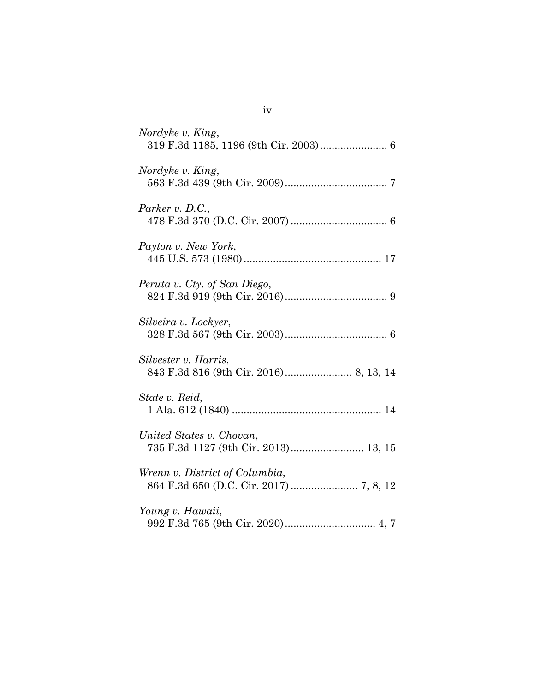| Nordyke v. King,                                                 |
|------------------------------------------------------------------|
| Nordyke v. King,                                                 |
| Parker v. D.C.,                                                  |
| Payton v. New York,                                              |
| Peruta v. Cty. of San Diego,                                     |
| Silveira v. Lockyer,                                             |
| Silvester v. Harris,                                             |
| State v. Reid,                                                   |
| United States v. Chovan,<br>735 F.3d 1127 (9th Cir. 2013) 13, 15 |
| Wrenn v. District of Columbia,                                   |
| Young v. Hawaii,                                                 |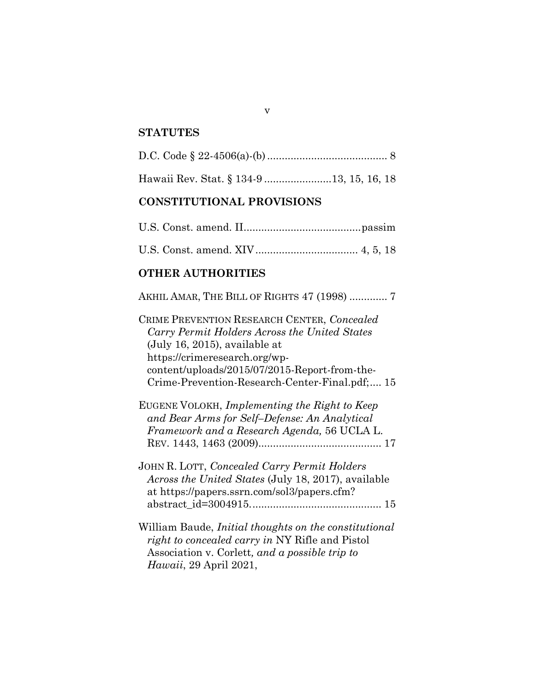#### **STATUTES**

|--|--|--|--|--|

Hawaii Rev. Stat. § 134-9 .......................13, 15, 16, 18

## **CONSTITUTIONAL PROVISIONS**

### **OTHER AUTHORITIES**

AKHIL AMAR, THE BILL OF RIGHTS 47 (1998) ............. 7

CRIME PREVENTION RESEARCH CENTER, *Concealed Carry Permit Holders Across the United States* (July 16, 2015), available at https://crimeresearch.org/wpcontent/uploads/2015/07/2015-Report-from-the-Crime-Prevention-Research-Center-Final.pdf;.... 15

EUGENE VOLOKH, *Implementing the Right to Keep and Bear Arms for Self–Defense: An Analytical Framework and a Research Agenda,* 56 UCLA L. REV. 1443, 1463 (2009).......................................... 17

JOHN R. LOTT, *Concealed Carry Permit Holders Across the United States* (July 18, 2017), available at https://papers.ssrn.com/sol3/papers.cfm? abstract\_id=3004915............................................. 15

William Baude, *Initial thoughts on the constitutional right to concealed carry in* NY Rifle and Pistol Association v. Corlett*, and a possible trip to Hawaii*, 29 April 2021,

v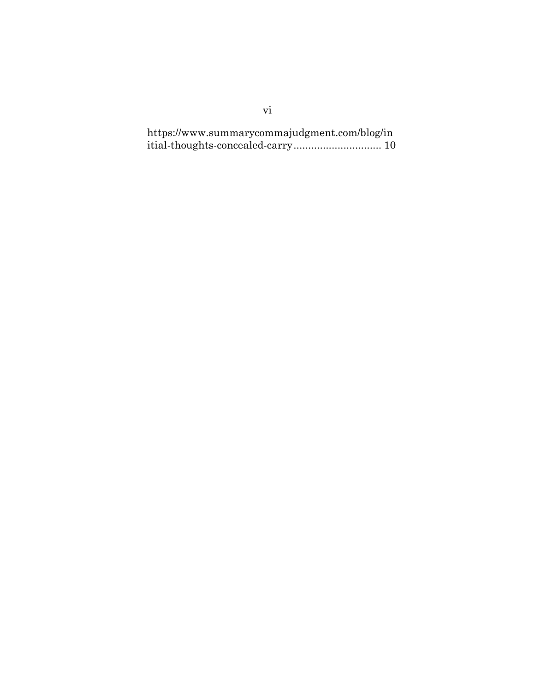https://www.summarycommajudgment.com/blog/in itial-thoughts-concealed-carry.............................. 10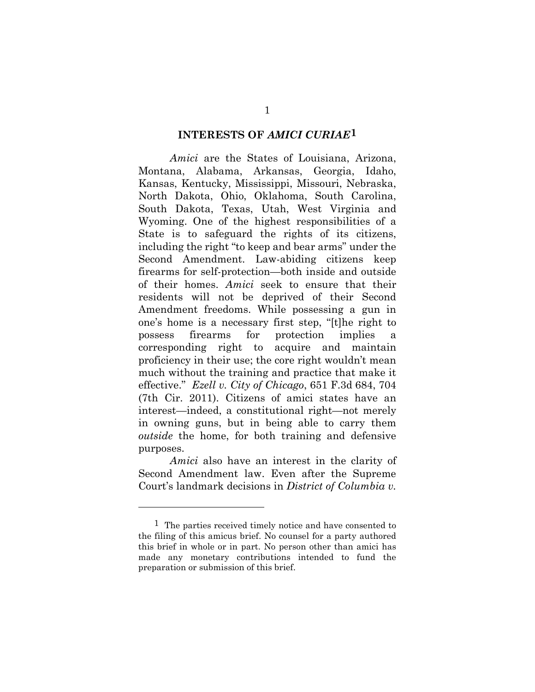### **INTERESTS OF** *AMICI CURIAE***[1](#page-8-0)**

*Amici* are the States of Louisiana, Arizona, Montana, Alabama, Arkansas, Georgia, Idaho, Kansas, Kentucky, Mississippi, Missouri, Nebraska, North Dakota, Ohio, Oklahoma, South Carolina, South Dakota, Texas, Utah, West Virginia and Wyoming. One of the highest responsibilities of a State is to safeguard the rights of its citizens, including the right "to keep and bear arms" under the Second Amendment. Law-abiding citizens keep firearms for self-protection—both inside and outside of their homes. *Amici* seek to ensure that their residents will not be deprived of their Second Amendment freedoms. While possessing a gun in one's home is a necessary first step, "[t]he right to possess firearms for protection implies a corresponding right to acquire and maintain proficiency in their use; the core right wouldn't mean much without the training and practice that make it effective." *Ezell v. City of Chicago*, 651 F.3d 684, 704 (7th Cir. 2011). Citizens of amici states have an interest—indeed, a constitutional right—not merely in owning guns, but in being able to carry them *outside* the home, for both training and defensive purposes.

*Amici* also have an interest in the clarity of Second Amendment law. Even after the Supreme Court's landmark decisions in *District of Columbia v.* 

<span id="page-8-0"></span><sup>1</sup> The parties received timely notice and have consented to the filing of this amicus brief. No counsel for a party authored this brief in whole or in part. No person other than amici has made any monetary contributions intended to fund the preparation or submission of this brief.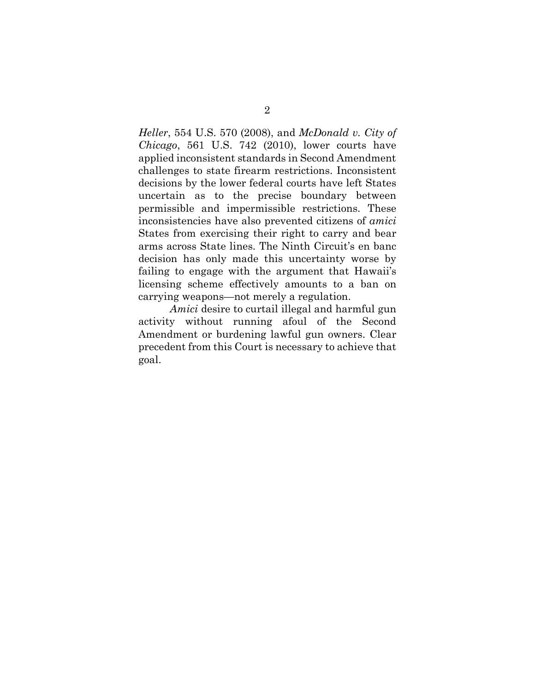*Heller*, 554 U.S. 570 (2008), and *McDonald v. City of Chicago*, 561 U.S. 742 (2010), lower courts have applied inconsistent standards in Second Amendment challenges to state firearm restrictions. Inconsistent decisions by the lower federal courts have left States uncertain as to the precise boundary between permissible and impermissible restrictions. These inconsistencies have also prevented citizens of *amici*  States from exercising their right to carry and bear arms across State lines. The Ninth Circuit's en banc decision has only made this uncertainty worse by failing to engage with the argument that Hawaii's licensing scheme effectively amounts to a ban on carrying weapons—not merely a regulation.

*Amici* desire to curtail illegal and harmful gun activity without running afoul of the Second Amendment or burdening lawful gun owners. Clear precedent from this Court is necessary to achieve that goal.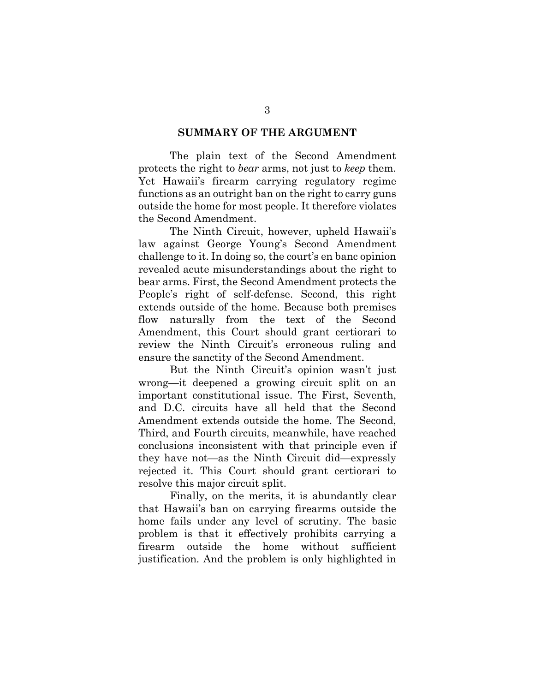#### **SUMMARY OF THE ARGUMENT**

The plain text of the Second Amendment protects the right to *bear* arms, not just to *keep* them. Yet Hawaii's firearm carrying regulatory regime functions as an outright ban on the right to carry guns outside the home for most people. It therefore violates the Second Amendment.

The Ninth Circuit, however, upheld Hawaii's law against George Young's Second Amendment challenge to it. In doing so, the court's en banc opinion revealed acute misunderstandings about the right to bear arms. First, the Second Amendment protects the People's right of self-defense. Second, this right extends outside of the home. Because both premises flow naturally from the text of the Second Amendment, this Court should grant certiorari to review the Ninth Circuit's erroneous ruling and ensure the sanctity of the Second Amendment.

But the Ninth Circuit's opinion wasn't just wrong—it deepened a growing circuit split on an important constitutional issue. The First, Seventh, and D.C. circuits have all held that the Second Amendment extends outside the home. The Second, Third, and Fourth circuits, meanwhile, have reached conclusions inconsistent with that principle even if they have not—as the Ninth Circuit did—expressly rejected it. This Court should grant certiorari to resolve this major circuit split.

Finally, on the merits, it is abundantly clear that Hawaii's ban on carrying firearms outside the home fails under any level of scrutiny. The basic problem is that it effectively prohibits carrying a firearm outside the home without sufficient justification. And the problem is only highlighted in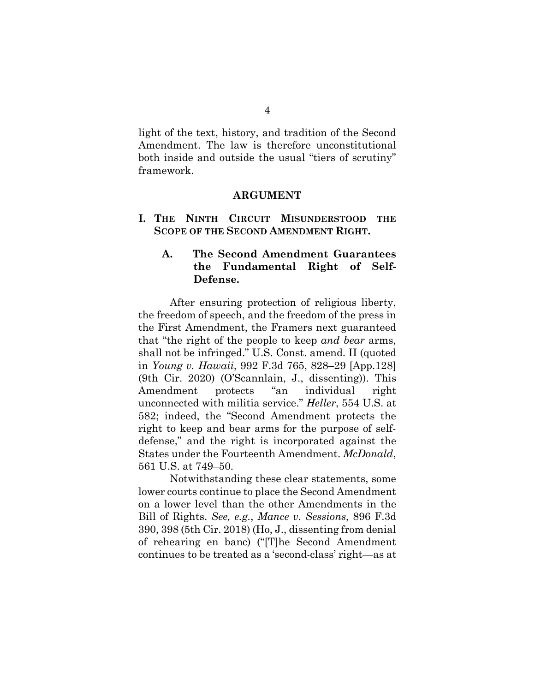light of the text, history, and tradition of the Second Amendment. The law is therefore unconstitutional both inside and outside the usual "tiers of scrutiny" framework.

#### **ARGUMENT**

**I. THE NINTH CIRCUIT MISUNDERSTOOD THE SCOPE OF THE SECOND AMENDMENT RIGHT.** 

### **A. The Second Amendment Guarantees the Fundamental Right of Self-Defense.**

After ensuring protection of religious liberty, the freedom of speech, and the freedom of the press in the First Amendment, the Framers next guaranteed that "the right of the people to keep *and bear* arms, shall not be infringed." U.S. Const. amend. II (quoted in *Young v. Hawaii*, 992 F.3d 765, 828–29 [App.128] (9th Cir. 2020) (O'Scannlain, J., dissenting)). This Amendment protects "an individual right unconnected with militia service." *Heller*, 554 U.S. at 582; indeed, the "Second Amendment protects the right to keep and bear arms for the purpose of selfdefense," and the right is incorporated against the States under the Fourteenth Amendment. *McDonald*, 561 U.S. at 749–50.

Notwithstanding these clear statements, some lower courts continue to place the Second Amendment on a lower level than the other Amendments in the Bill of Rights. *See, e.g.*, *Mance v. Sessions*, 896 F.3d 390, 398 (5th Cir. 2018) (Ho, J., dissenting from denial of rehearing en banc) ("[T]he Second Amendment continues to be treated as a 'second-class' right—as at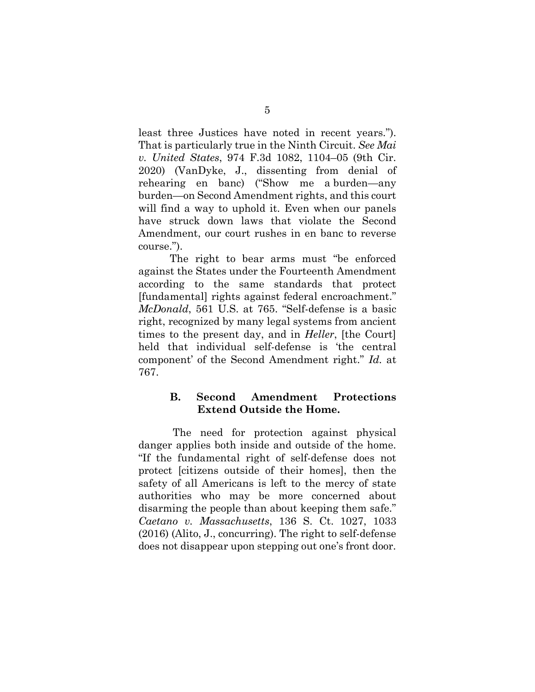least three Justices have noted in recent years."). That is particularly true in the Ninth Circuit. *See Mai v. United States*, 974 F.3d 1082, 1104–05 (9th Cir. 2020) (VanDyke, J., dissenting from denial of rehearing en banc) ("Show me a burden—any burden—on Second Amendment rights, and this court will find a way to uphold it. Even when our panels have struck down laws that violate the Second Amendment, our court rushes in en banc to reverse course.").

The right to bear arms must "be enforced against the States under the Fourteenth Amendment according to the same standards that protect [fundamental] rights against federal encroachment." *McDonald*, 561 U.S. at 765. "Self-defense is a basic right, recognized by many legal systems from ancient times to the present day, and in *Heller*, [the Court] held that individual self-defense is 'the central component' of the Second Amendment right." *Id.* at 767.

## **B. Second Amendment Protections Extend Outside the Home.**

 The need for protection against physical danger applies both inside and outside of the home. "If the fundamental right of self-defense does not protect [citizens outside of their homes], then the safety of all Americans is left to the mercy of state authorities who may be more concerned about disarming the people than about keeping them safe." *Caetano v. Massachusetts*, 136 S. Ct. 1027, 1033 (2016) (Alito, J., concurring). The right to self-defense does not disappear upon stepping out one's front door.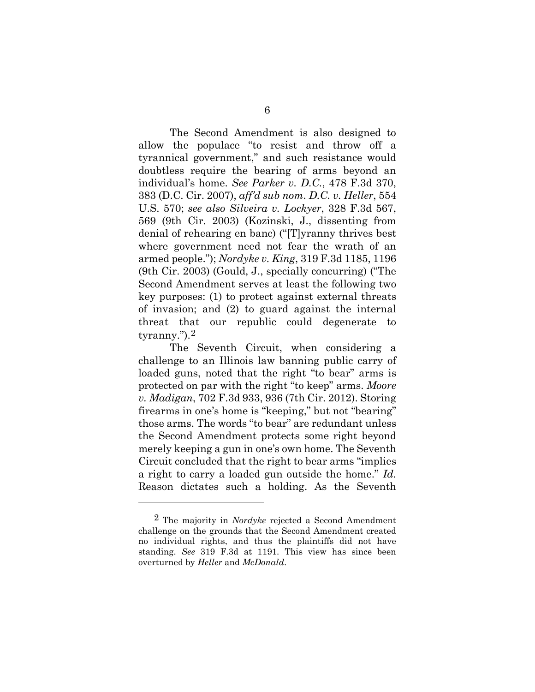The Second Amendment is also designed to allow the populace "to resist and throw off a tyrannical government," and such resistance would doubtless require the bearing of arms beyond an individual's home. *See Parker v. D.C.*, 478 F.3d 370, 383 (D.C. Cir. 2007), *aff'd sub nom*. *D.C. v. Heller*, 554 U.S. 570; *see also Silveira v. Lockyer*, 328 F.3d 567, 569 (9th Cir. 2003) (Kozinski, J., dissenting from denial of rehearing en banc) ("[T]yranny thrives best where government need not fear the wrath of an armed people."); *Nordyke v. King*, 319 F.3d 1185, 1196 (9th Cir. 2003) (Gould, J., specially concurring) ("The Second Amendment serves at least the following two key purposes: (1) to protect against external threats of invasion; and (2) to guard against the internal threat that our republic could degenerate to tyranny.").[2](#page-13-0)

The Seventh Circuit, when considering a challenge to an Illinois law banning public carry of loaded guns, noted that the right "to bear" arms is protected on par with the right "to keep" arms. *Moore v. Madigan*, 702 F.3d 933, 936 (7th Cir. 2012). Storing firearms in one's home is "keeping," but not "bearing" those arms. The words "to bear" are redundant unless the Second Amendment protects some right beyond merely keeping a gun in one's own home. The Seventh Circuit concluded that the right to bear arms "implies a right to carry a loaded gun outside the home." *Id.*  Reason dictates such a holding. As the Seventh

<span id="page-13-0"></span><sup>2</sup> The majority in *Nordyke* rejected a Second Amendment challenge on the grounds that the Second Amendment created no individual rights, and thus the plaintiffs did not have standing. *See* 319 F.3d at 1191. This view has since been overturned by *Heller* and *McDonald*.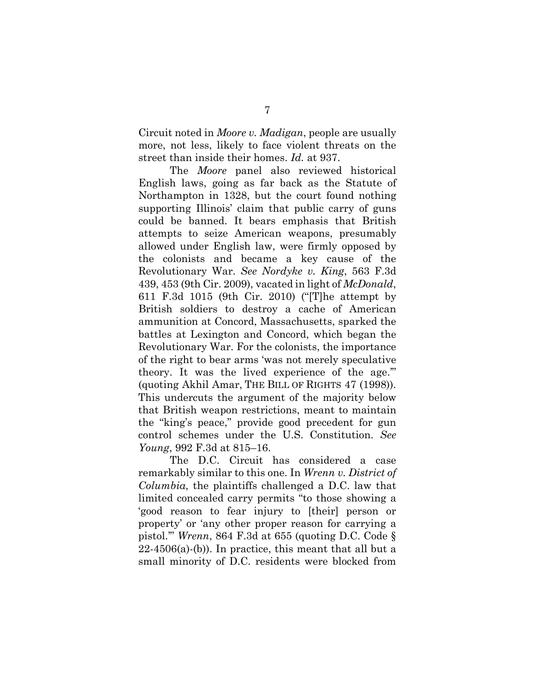Circuit noted in *Moore v. Madigan*, people are usually more, not less, likely to face violent threats on the street than inside their homes. *Id.* at 937.

The *Moore* panel also reviewed historical English laws, going as far back as the Statute of Northampton in 1328, but the court found nothing supporting Illinois' claim that public carry of guns could be banned. It bears emphasis that British attempts to seize American weapons, presumably allowed under English law, were firmly opposed by the colonists and became a key cause of the Revolutionary War. *See Nordyke v. King*, 563 F.3d 439, 453 (9th Cir. 2009), vacated in light of *McDonald*, 611 F.3d 1015 (9th Cir. 2010) ("[T]he attempt by British soldiers to destroy a cache of American ammunition at Concord, Massachusetts, sparked the battles at Lexington and Concord, which began the Revolutionary War. For the colonists, the importance of the right to bear arms 'was not merely speculative theory. It was the lived experience of the age.'" (quoting Akhil Amar, THE BILL OF RIGHTS 47 (1998)). This undercuts the argument of the majority below that British weapon restrictions, meant to maintain the "king's peace," provide good precedent for gun control schemes under the U.S. Constitution. *See Young*, 992 F.3d at 815–16.

The D.C. Circuit has considered a case remarkably similar to this one. In *Wrenn v. District of Columbia*, the plaintiffs challenged a D.C. law that limited concealed carry permits "to those showing a 'good reason to fear injury to [their] person or property' or 'any other proper reason for carrying a pistol.'" *Wrenn*, 864 F.3d at 655 (quoting D.C. Code §  $22-4506(a)$ -(b)). In practice, this meant that all but a small minority of D.C. residents were blocked from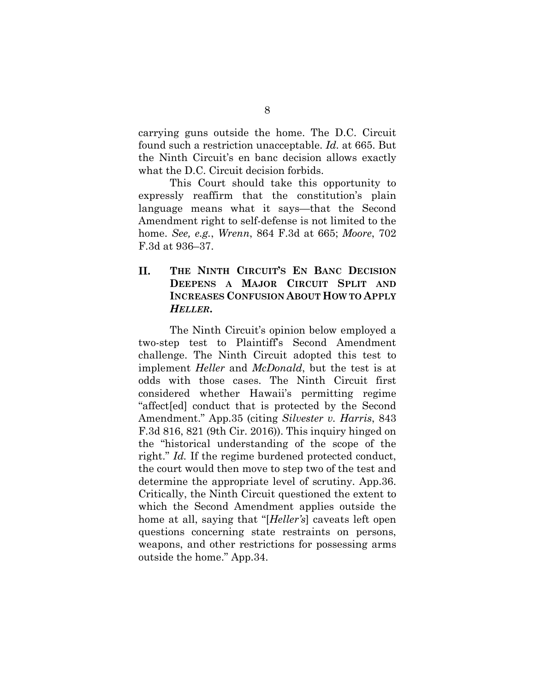carrying guns outside the home. The D.C. Circuit found such a restriction unacceptable. *Id.* at 665. But the Ninth Circuit's en banc decision allows exactly what the D.C. Circuit decision forbids.

This Court should take this opportunity to expressly reaffirm that the constitution's plain language means what it says—that the Second Amendment right to self-defense is not limited to the home. *See, e.g.*, *Wrenn*, 864 F.3d at 665; *Moore*, 702 F.3d at 936–37.

## **II. THE NINTH CIRCUIT'S EN BANC DECISION DEEPENS A MAJOR CIRCUIT SPLIT AND INCREASES CONFUSION ABOUT HOW TO APPLY**  *HELLER***.**

The Ninth Circuit's opinion below employed a two-step test to Plaintiff's Second Amendment challenge. The Ninth Circuit adopted this test to implement *Heller* and *McDonald*, but the test is at odds with those cases. The Ninth Circuit first considered whether Hawaii's permitting regime "affect[ed] conduct that is protected by the Second Amendment." App.35 (citing *Silvester v. Harris*, 843 F.3d 816, 821 (9th Cir. 2016)). This inquiry hinged on the "historical understanding of the scope of the right." *Id.* If the regime burdened protected conduct, the court would then move to step two of the test and determine the appropriate level of scrutiny. App.36. Critically, the Ninth Circuit questioned the extent to which the Second Amendment applies outside the home at all, saying that "[*Heller's*] caveats left open questions concerning state restraints on persons, weapons, and other restrictions for possessing arms outside the home." App.34.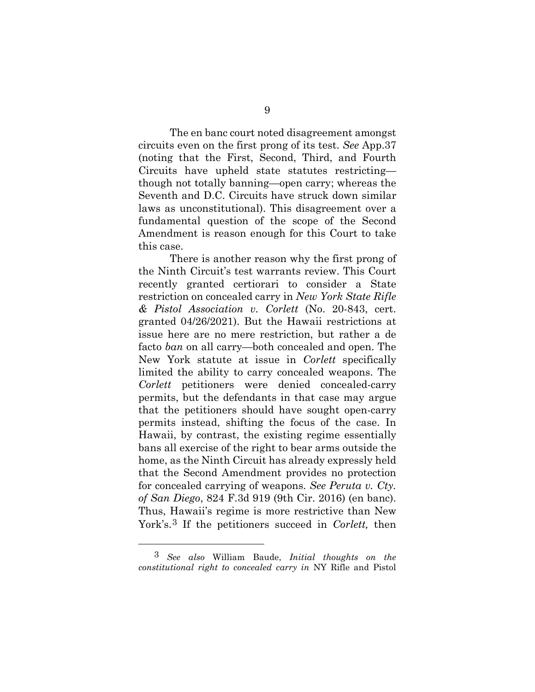The en banc court noted disagreement amongst circuits even on the first prong of its test. *See* App.37 (noting that the First, Second, Third, and Fourth Circuits have upheld state statutes restricting though not totally banning—open carry; whereas the Seventh and D.C. Circuits have struck down similar laws as unconstitutional). This disagreement over a fundamental question of the scope of the Second Amendment is reason enough for this Court to take this case.

There is another reason why the first prong of the Ninth Circuit's test warrants review. This Court recently granted certiorari to consider a State restriction on concealed carry in *New York State Rifle & Pistol Association v. Corlett* (No. 20-843, cert. granted 04/26/2021). But the Hawaii restrictions at issue here are no mere restriction, but rather a de facto *ban* on all carry—both concealed and open. The New York statute at issue in *Corlett* specifically limited the ability to carry concealed weapons. The *Corlett* petitioners were denied concealed-carry permits, but the defendants in that case may argue that the petitioners should have sought open-carry permits instead, shifting the focus of the case. In Hawaii, by contrast, the existing regime essentially bans all exercise of the right to bear arms outside the home, as the Ninth Circuit has already expressly held that the Second Amendment provides no protection for concealed carrying of weapons. *See Peruta v. Cty. of San Diego*, 824 F.3d 919 (9th Cir. 2016) (en banc). Thus, Hawaii's regime is more restrictive than New York's.[3](#page-16-0) If the petitioners succeed in *Corlett,* then

<span id="page-16-0"></span><sup>3</sup> *See also* William Baude, *Initial thoughts on the constitutional right to concealed carry in* NY Rifle and Pistol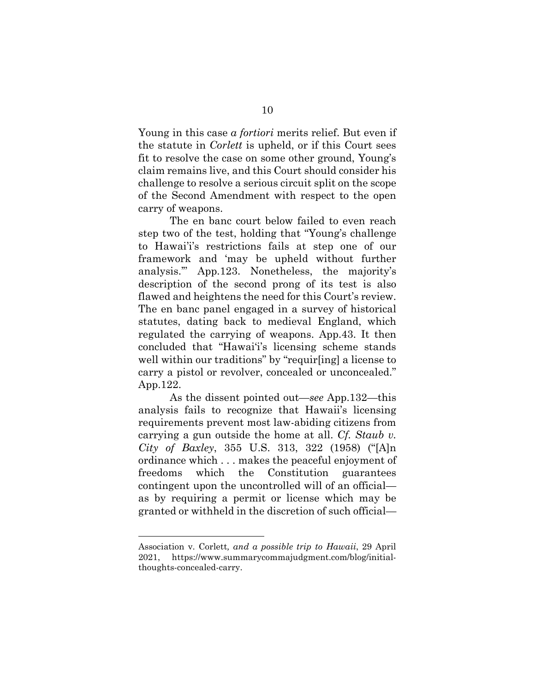Young in this case *a fortiori* merits relief. But even if the statute in *Corlett* is upheld, or if this Court sees fit to resolve the case on some other ground, Young's claim remains live, and this Court should consider his challenge to resolve a serious circuit split on the scope of the Second Amendment with respect to the open carry of weapons.

The en banc court below failed to even reach step two of the test, holding that "Young's challenge to Hawai'i's restrictions fails at step one of our framework and 'may be upheld without further analysis.'" App.123. Nonetheless, the majority's description of the second prong of its test is also flawed and heightens the need for this Court's review. The en banc panel engaged in a survey of historical statutes, dating back to medieval England, which regulated the carrying of weapons. App.43. It then concluded that "Hawai'i's licensing scheme stands well within our traditions" by "requir[ing] a license to carry a pistol or revolver, concealed or unconcealed." App.122.

As the dissent pointed out—*see* App.132—this analysis fails to recognize that Hawaii's licensing requirements prevent most law-abiding citizens from carrying a gun outside the home at all. *Cf. Staub v. City of Baxley*, 355 U.S. 313, 322 (1958) ("[A]n ordinance which . . . makes the peaceful enjoyment of freedoms which the Constitution guarantees contingent upon the uncontrolled will of an official as by requiring a permit or license which may be granted or withheld in the discretion of such official—

Association v. Corlett*, and a possible trip to Hawaii*, 29 April 2021, [https://www.summarycommajudgment.com/blog/initial](https://www.summarycommajudgment.com/blog/initial-thoughts-concealed-carry)[thoughts-concealed-carry.](https://www.summarycommajudgment.com/blog/initial-thoughts-concealed-carry)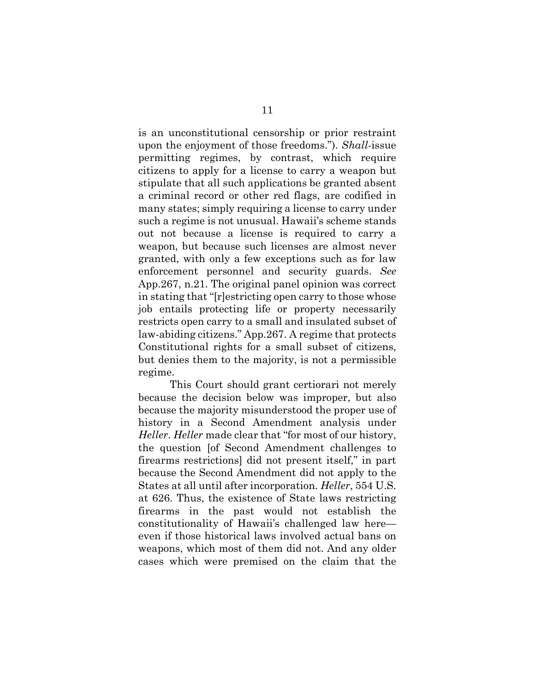is an unconstitutional censorship or prior restraint upon the enjoyment of those freedoms."). *Shall-*issue permitting regimes, by contrast, which require citizens to apply for a license to carry a weapon but stipulate that all such applications be granted absent a criminal record or other red flags, are codified in many states; simply requiring a license to carry under such a regime is not unusual. Hawaii's scheme stands out not because a license is required to carry a weapon, but because such licenses are almost never granted, with only a few exceptions such as for law enforcement personnel and security guards. *See* App.267, n.21. The original panel opinion was correct in stating that "[r]estricting open carry to those whose job entails protecting life or property necessarily restricts open carry to a small and insulated subset of law-abiding citizens." App.267. A regime that protects Constitutional rights for a small subset of citizens, but denies them to the majority, is not a permissible regime.

This Court should grant certiorari not merely because the decision below was improper, but also because the majority misunderstood the proper use of history in a Second Amendment analysis under *Heller*. *Heller* made clear that "for most of our history, the question [of Second Amendment challenges to firearms restrictions] did not present itself," in part because the Second Amendment did not apply to the States at all until after incorporation. *Heller*, 554 U.S. at 626. Thus, the existence of State laws restricting firearms in the past would not establish the constitutionality of Hawaii's challenged law here even if those historical laws involved actual bans on weapons, which most of them did not. And any older cases which were premised on the claim that the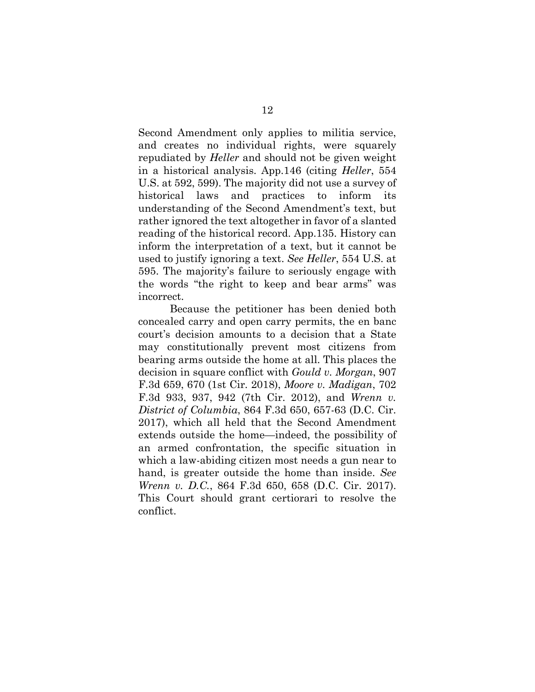Second Amendment only applies to militia service, and creates no individual rights, were squarely repudiated by *Heller* and should not be given weight in a historical analysis. App.146 (citing *Heller*, 554 U.S. at 592, 599). The majority did not use a survey of historical laws and practices to inform its understanding of the Second Amendment's text, but rather ignored the text altogether in favor of a slanted reading of the historical record. App.135. History can inform the interpretation of a text, but it cannot be used to justify ignoring a text. *See Heller*, 554 U.S. at 595. The majority's failure to seriously engage with the words "the right to keep and bear arms" was incorrect.

Because the petitioner has been denied both concealed carry and open carry permits, the en banc court's decision amounts to a decision that a State may constitutionally prevent most citizens from bearing arms outside the home at all. This places the decision in square conflict with *Gould v. Morgan*, 907 F.3d 659, 670 (1st Cir. 2018), *Moore v. Madigan*, 702 F.3d 933, 937, 942 (7th Cir. 2012), and *Wrenn v. District of Columbia*, 864 F.3d 650, 657-63 (D.C. Cir. 2017), which all held that the Second Amendment extends outside the home—indeed, the possibility of an armed confrontation, the specific situation in which a law-abiding citizen most needs a gun near to hand, is greater outside the home than inside. *See Wrenn v. D.C.*, 864 F.3d 650, 658 (D.C. Cir. 2017). This Court should grant certiorari to resolve the conflict.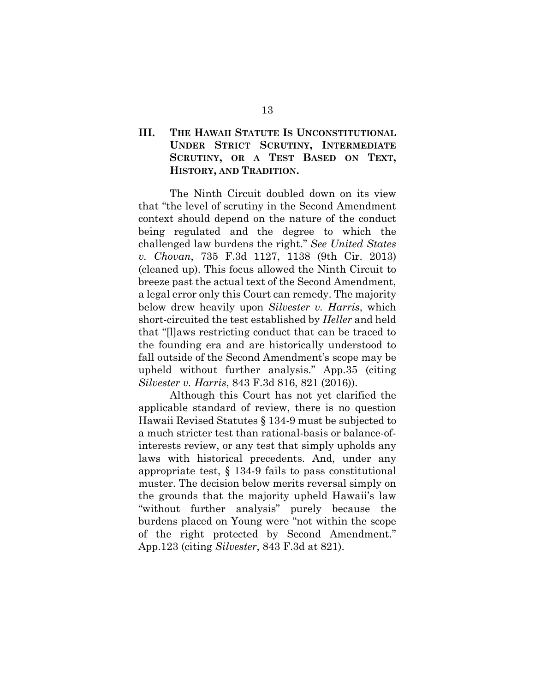## **III. THE HAWAII STATUTE IS UNCONSTITUTIONAL UNDER STRICT SCRUTINY, INTERMEDIATE SCRUTINY, OR A TEST BASED ON TEXT, HISTORY, AND TRADITION.**

The Ninth Circuit doubled down on its view that "the level of scrutiny in the Second Amendment context should depend on the nature of the conduct being regulated and the degree to which the challenged law burdens the right." *See United States v. Chovan*, 735 F.3d 1127, 1138 (9th Cir. 2013) (cleaned up). This focus allowed the Ninth Circuit to breeze past the actual text of the Second Amendment, a legal error only this Court can remedy. The majority below drew heavily upon *Silvester v. Harris*, which short-circuited the test established by *Heller* and held that "[l]aws restricting conduct that can be traced to the founding era and are historically understood to fall outside of the Second Amendment's scope may be upheld without further analysis." App.35 (citing *Silvester v. Harris*, 843 F.3d 816, 821 (2016)).

Although this Court has not yet clarified the applicable standard of review, there is no question Hawaii Revised Statutes § 134-9 must be subjected to a much stricter test than rational-basis or balance-ofinterests review, or any test that simply upholds any laws with historical precedents. And, under any appropriate test, § 134-9 fails to pass constitutional muster. The decision below merits reversal simply on the grounds that the majority upheld Hawaii's law "without further analysis" purely because the burdens placed on Young were "not within the scope of the right protected by Second Amendment." App.123 (citing *Silvester*, 843 F.3d at 821).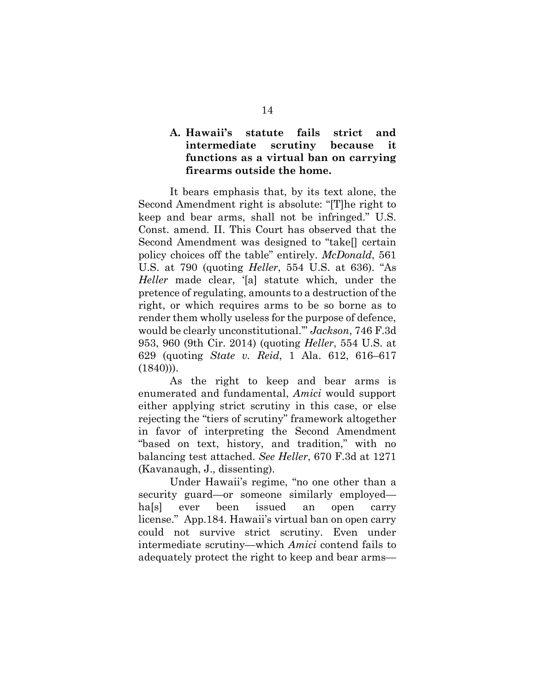### **A. Hawaii's statute fails strict and intermediate scrutiny because it functions as a virtual ban on carrying firearms outside the home.**

It bears emphasis that, by its text alone, the Second Amendment right is absolute: "[T]he right to keep and bear arms, shall not be infringed." U.S. Const. amend. II. This Court has observed that the Second Amendment was designed to "take[] certain policy choices off the table" entirely. *McDonald*, 561 U.S. at 790 (quoting *Heller*, 554 U.S. at 636). "As *Heller* made clear, '[a] statute which, under the pretence of regulating, amounts to a destruction of the right, or which requires arms to be so borne as to render them wholly useless for the purpose of defence, would be clearly unconstitutional.'" *Jackson*, 746 F.3d 953, 960 (9th Cir. 2014) (quoting *Heller*, 554 U.S. at 629 (quoting *State v. Reid*, 1 Ala. 612, 616–617  $(1840)$ ).

As the right to keep and bear arms is enumerated and fundamental, *Amici* would support either applying strict scrutiny in this case, or else rejecting the "tiers of scrutiny" framework altogether in favor of interpreting the Second Amendment "based on text, history, and tradition," with no balancing test attached. *See Heller*, 670 F.3d at 1271 (Kavanaugh, J., dissenting).

Under Hawaii's regime, "no one other than a security guard—or someone similarly employed ha[s] ever been issued an open carry license." App.184. Hawaii's virtual ban on open carry could not survive strict scrutiny. Even under intermediate scrutiny—which *Amici* contend fails to adequately protect the right to keep and bear arms—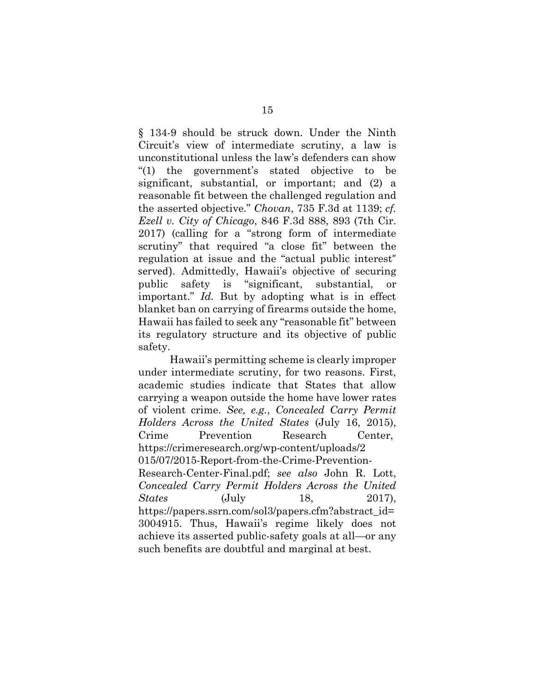§ 134-9 should be struck down. Under the Ninth Circuit's view of intermediate scrutiny, a law is unconstitutional unless the law's defenders can show "(1) the government's stated objective to be significant, substantial, or important; and (2) a reasonable fit between the challenged regulation and the asserted objective." *Chovan*, 735 F.3d at 1139; *cf. Ezell v. City of Chicago*, 846 F.3d 888, 893 (7th Cir. 2017) (calling for a "strong form of intermediate scrutiny" that required "a close fit" between the regulation at issue and the "actual public interest" served). Admittedly, Hawaii's objective of securing<br>public safety is "significant, substantial, or "significant, substantial, or important." *Id.* But by adopting what is in effect blanket ban on carrying of firearms outside the home, Hawaii has failed to seek any "reasonable fit" between its regulatory structure and its objective of public safety.

Hawaii's permitting scheme is clearly improper under intermediate scrutiny, for two reasons. First, academic studies indicate that States that allow carrying a weapon outside the home have lower rates of violent crime. *See, e.g.*, *Concealed Carry Permit Holders Across the United States* (July 16, 2015), Crime Prevention Research Center, https://crimeresearch.org/wp-content/uploads/2 015/07/2015-Report-from-the-Crime-Prevention-Research-Center-Final.pdf; *see also* John R. Lott, *Concealed Carry Permit Holders Across the United States* (July 18, 2017), https://papers.ssrn.com/sol3/papers.cfm?abstract\_id= 3004915. Thus, Hawaii's regime likely does not achieve its asserted public-safety goals at all—or any such benefits are doubtful and marginal at best.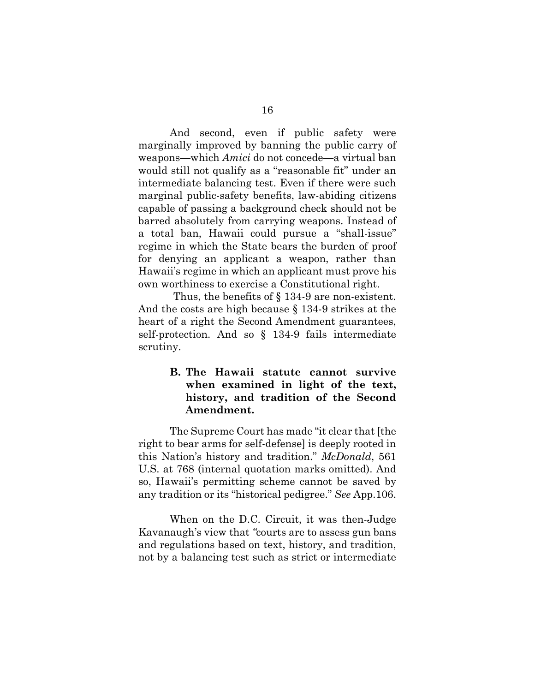And second, even if public safety were marginally improved by banning the public carry of weapons—which *Amici* do not concede—a virtual ban would still not qualify as a "reasonable fit" under an intermediate balancing test. Even if there were such marginal public-safety benefits, law-abiding citizens capable of passing a background check should not be barred absolutely from carrying weapons. Instead of a total ban, Hawaii could pursue a "shall-issue" regime in which the State bears the burden of proof for denying an applicant a weapon, rather than Hawaii's regime in which an applicant must prove his own worthiness to exercise a Constitutional right.

 Thus, the benefits of § 134-9 are non-existent. And the costs are high because § 134-9 strikes at the heart of a right the Second Amendment guarantees, self-protection. And so § 134-9 fails intermediate scrutiny.

### **B. The Hawaii statute cannot survive when examined in light of the text, history, and tradition of the Second Amendment.**

The Supreme Court has made "it clear that [the right to bear arms for self-defense] is deeply rooted in this Nation's history and tradition." *McDonald*, 561 U.S. at 768 (internal quotation marks omitted). And so, Hawaii's permitting scheme cannot be saved by any tradition or its "historical pedigree." *See* App.106.

When on the D.C. Circuit, it was then-Judge Kavanaugh's view that *"*courts are to assess gun bans and regulations based on text, history, and tradition, not by a balancing test such as strict or intermediate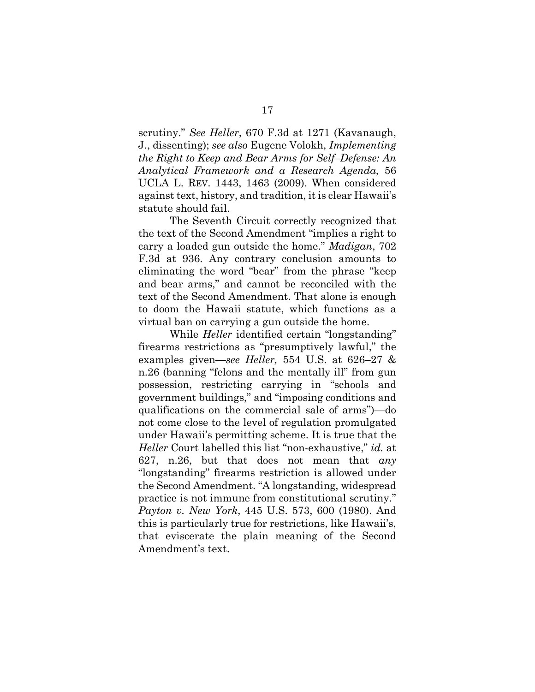scrutiny." *See Heller*, 670 F.3d at 1271 (Kavanaugh, J., dissenting); *see also* Eugene Volokh, *Implementing the Right to Keep and Bear Arms for Self–Defense: An Analytical Framework and a Research Agenda,* 56 UCLA L. REV. 1443, 1463 (2009). When considered against text, history, and tradition, it is clear Hawaii's statute should fail.

The Seventh Circuit correctly recognized that the text of the Second Amendment "implies a right to carry a loaded gun outside the home." *Madigan*, 702 F.3d at 936. Any contrary conclusion amounts to eliminating the word "bear" from the phrase "keep and bear arms," and cannot be reconciled with the text of the Second Amendment. That alone is enough to doom the Hawaii statute, which functions as a virtual ban on carrying a gun outside the home.

While *Heller* identified certain "longstanding" firearms restrictions as "presumptively lawful," the examples given—*see Heller,* 554 U.S. at 626–27 & n.26 (banning "felons and the mentally ill" from gun possession, restricting carrying in "schools and government buildings," and "imposing conditions and qualifications on the commercial sale of arms")—do not come close to the level of regulation promulgated under Hawaii's permitting scheme. It is true that the *Heller* Court labelled this list "non-exhaustive," *id.* at 627, n.26, but that does not mean that *any*  "longstanding" firearms restriction is allowed under the Second Amendment. "A longstanding, widespread practice is not immune from constitutional scrutiny." *Payton v. New York*, 445 U.S. 573, 600 (1980). And this is particularly true for restrictions, like Hawaii's, that eviscerate the plain meaning of the Second Amendment's text.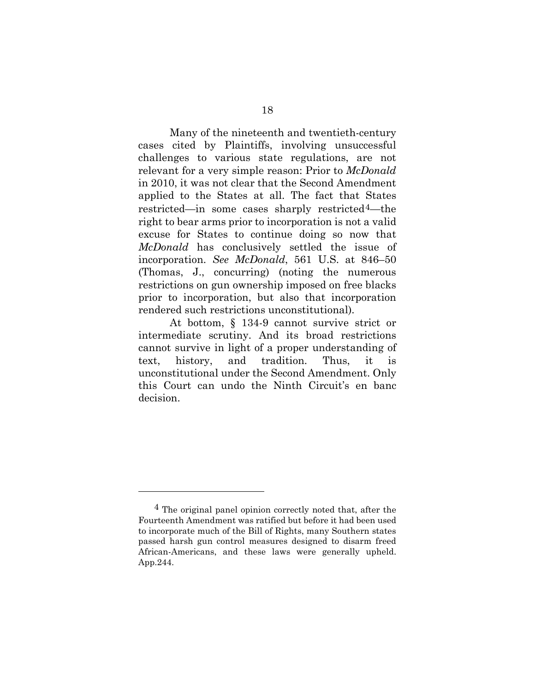Many of the nineteenth and twentieth-century cases cited by Plaintiffs, involving unsuccessful challenges to various state regulations, are not relevant for a very simple reason: Prior to *McDonald* in 2010, it was not clear that the Second Amendment applied to the States at all. The fact that States restricted—in some cases sharply restricted<sup>4</sup>—the right to bear arms prior to incorporation is not a valid excuse for States to continue doing so now that *McDonald* has conclusively settled the issue of incorporation. *See McDonald*, 561 U.S. at 846–50 (Thomas, J., concurring) (noting the numerous restrictions on gun ownership imposed on free blacks prior to incorporation, but also that incorporation rendered such restrictions unconstitutional).

At bottom, § 134-9 cannot survive strict or intermediate scrutiny. And its broad restrictions cannot survive in light of a proper understanding of text, history, and tradition. Thus, it is unconstitutional under the Second Amendment. Only this Court can undo the Ninth Circuit's en banc decision.

<span id="page-25-0"></span><sup>4</sup> The original panel opinion correctly noted that, after the Fourteenth Amendment was ratified but before it had been used to incorporate much of the Bill of Rights, many Southern states passed harsh gun control measures designed to disarm freed African-Americans, and these laws were generally upheld. App.244.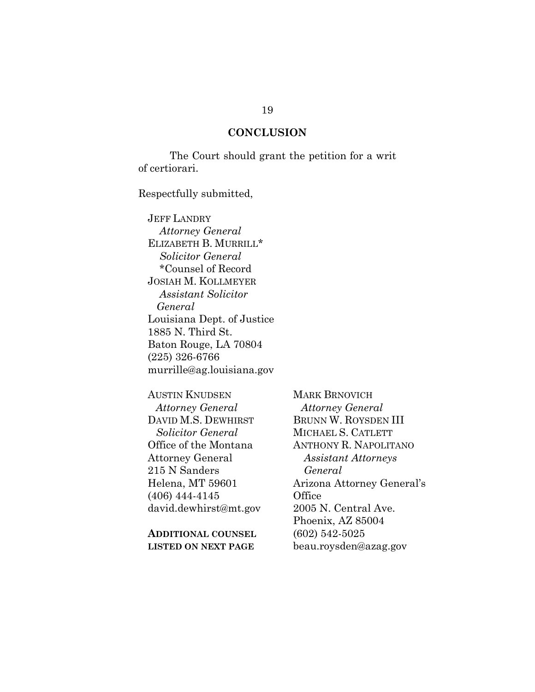#### **CONCLUSION**

The Court should grant the petition for a writ of certiorari.

Respectfully submitted,

JEFF LANDRY *Attorney General* ELIZABETH B. MURRILL\* *Solicitor General* \*Counsel of Record JOSIAH M. KOLLMEYER *Assistant Solicitor General* Louisiana Dept. of Justice 1885 N. Third St. Baton Rouge, LA 70804 (225) 326-6766 murrille@ag.louisiana.gov

AUSTIN KNUDSEN *Attorney General* DAVID M.S. DEWHIRST *Solicitor General* Office of the Montana Attorney General 215 N Sanders Helena, MT 59601 (406) 444-4145 david.dewhirst@mt.gov

**ADDITIONAL COUNSEL LISTED ON NEXT PAGE** 

MARK BRNOVICH *Attorney General* BRUNN W. ROYSDEN III MICHAEL S. CATLETT ANTHONY R. NAPOLITANO *Assistant Attorneys General* Arizona Attorney General's **Office** 2005 N. Central Ave. Phoenix, AZ 85004 (602) 542-5025 beau.roysden@azag.gov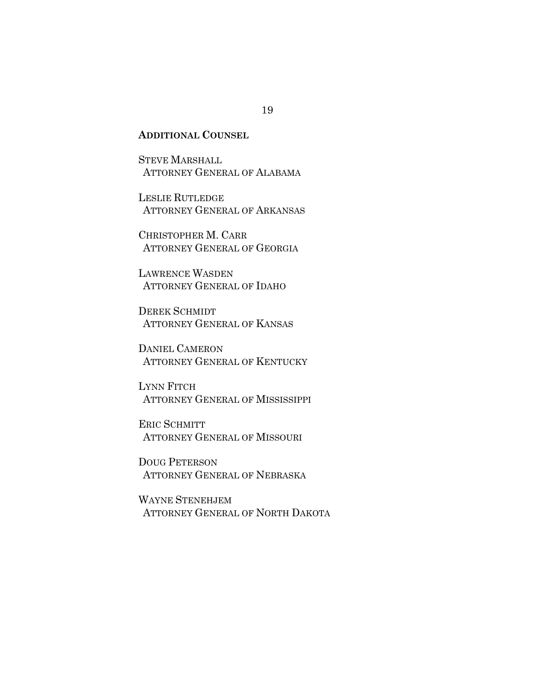### **ADDITIONAL COUNSEL**

STEVE MARSHALL ATTORNEY GENERAL OF ALABAMA

LESLIE RUTLEDGE ATTORNEY GENERAL OF ARKANSAS

CHRISTOPHER M. CARR ATTORNEY GENERAL OF GEORGIA

LAWRENCE WASDEN ATTORNEY GENERAL OF IDAHO

DEREK SCHMIDT ATTORNEY GENERAL OF KANSAS

DANIEL CAMERON ATTORNEY GENERAL OF KENTUCKY

LYNN FITCH ATTORNEY GENERAL OF MISSISSIPPI

ERIC SCHMITT ATTORNEY GENERAL OF MISSOURI

DOUG PETERSON ATTORNEY GENERAL OF NEBRASKA

WAYNE STENEHJEM ATTORNEY GENERAL OF NORTH DAKOTA